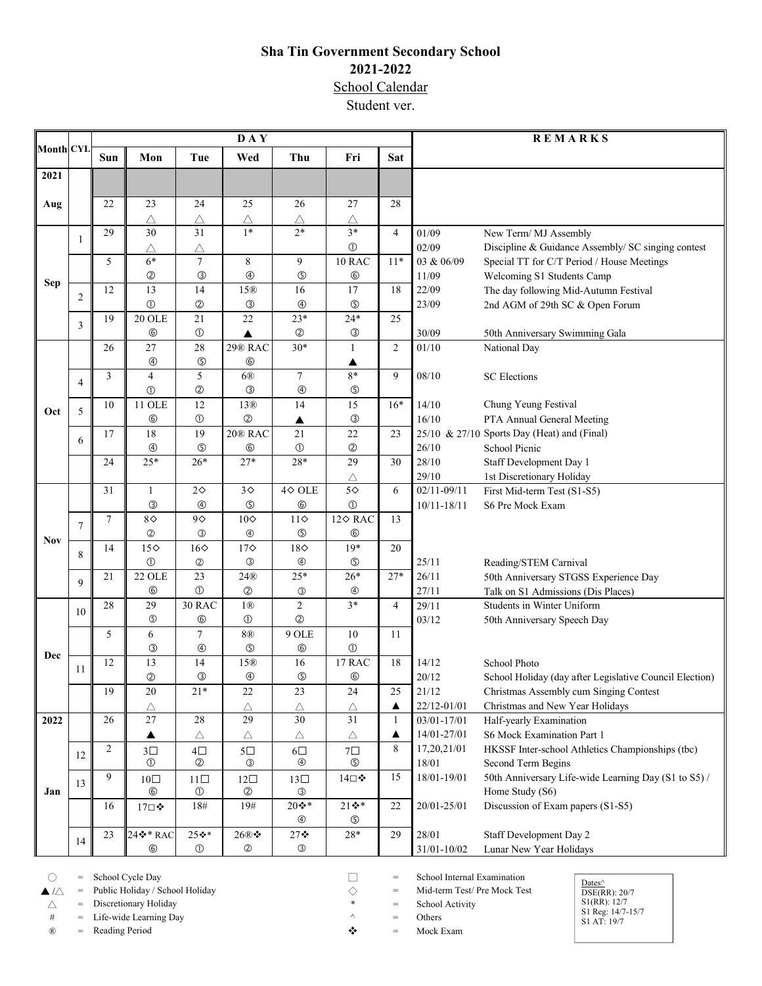## **Sha Tin Government Secondary School 2021-2022** School Calendar

Student ver.

| <b>Month CYL</b> |                     | DAY            |                            |                                |                                   |                                |                   |                  | <b>REMARKS</b>       |                                                                                                   |  |
|------------------|---------------------|----------------|----------------------------|--------------------------------|-----------------------------------|--------------------------------|-------------------|------------------|----------------------|---------------------------------------------------------------------------------------------------|--|
|                  |                     | Sun            | Mon                        | Tue                            | Wed                               | Thu                            | Fri               | Sat              |                      |                                                                                                   |  |
| 2021             |                     |                |                            |                                |                                   |                                |                   |                  |                      |                                                                                                   |  |
|                  |                     |                |                            |                                |                                   |                                |                   |                  |                      |                                                                                                   |  |
| Aug              |                     | 22             | 23                         | 24                             | 25                                | 26                             | 27                | 28               |                      |                                                                                                   |  |
|                  |                     |                | Δ                          | $\triangle$                    | Δ                                 | Δ                              | Δ                 |                  |                      |                                                                                                   |  |
| <b>Sep</b>       | 1                   | 29             | 30                         | 31                             | $1*$                              | $2*$                           | $3*$              | $\overline{4}$   | 01/09                | New Term/ MJ Assembly                                                                             |  |
|                  |                     |                | $\triangle$                | $\triangle$                    |                                   |                                | $\circled{0}$     |                  | 02/09                | Discipline & Guidance Assembly/ SC singing contest                                                |  |
|                  | $\overline{c}$      | 5              | $6*$                       | $\boldsymbol{7}$               | 8                                 | 9                              | 10 RAC            | $11*$            | 03 & 06/09           | Special TT for C/T Period / House Meetings                                                        |  |
|                  |                     |                | $^{\circledR}$             | $\circledS$                    | $\circledcirc$                    | $\circledS$                    | $^{\circ}$        |                  | 11/09                | Welcoming S1 Students Camp                                                                        |  |
|                  |                     | 12             | 13                         | 14<br>$^{\circledR}$           | 15 <sup>®</sup><br>$\circledS$    | 16                             | 17<br>$\circledS$ | 18               | 22/09                | The day following Mid-Autumn Festival                                                             |  |
|                  | 3                   | 19             | $\circledcirc$<br>$20$ OLE | 21                             | 22                                | $^{\circledR}$<br>$23*$        | $24*$             | 25               | 23/09                | 2nd AGM of 29th SC & Open Forum                                                                   |  |
|                  |                     |                | $^{\circ}$                 | $\textcircled{\scriptsize{1}}$ |                                   | $^{\circledR}$                 | $\circledS$       |                  | 30/09                |                                                                                                   |  |
|                  |                     | 26             | 27                         | 28                             | 29® RAC                           | $30*$                          | $\mathbf{1}$      | $\overline{c}$   | 01/10                | 50th Anniversary Swimming Gala<br>National Day                                                    |  |
|                  |                     |                | $\circledA$                | $\circledS$                    | $^{\circ}$                        |                                | ▲                 |                  |                      |                                                                                                   |  |
|                  | $\overline{4}$      | $\mathfrak{Z}$ | $\overline{4}$             | 5                              | 6 <sup>®</sup>                    | $\overline{7}$                 | $8*$              | 9                | 08/10                | <b>SC</b> Elections                                                                               |  |
| Oct              |                     |                | $\circledcirc$             | $^{\circledR}$                 | $\circledS$                       | $\circledA$                    | $\circledS$       |                  |                      |                                                                                                   |  |
|                  | 5                   | 10             | <b>11 OLE</b>              | 12                             | 13 <sup>®</sup>                   | 14                             | 15                | $16*$            | 14/10                | Chung Yeung Festival                                                                              |  |
|                  |                     |                | $^{\circ}$                 | $\textcircled{\scriptsize{1}}$ | $^{\circledR}$                    | ▲                              | $\circledS$       |                  | 16/10                | PTA Annual General Meeting                                                                        |  |
|                  | 6                   | 17             | 18                         | 19                             | 20® RAC                           | 21                             | 22                | 23               |                      | 25/10 & 27/10 Sports Day (Heat) and (Final)                                                       |  |
|                  |                     |                | $^{\circledR}$             | $\circledS$                    | $^{\circ}$                        | $\circled{0}$                  | $^{\circledR}$    |                  | 26/10                | School Picnic                                                                                     |  |
|                  |                     | 24             | $25*$                      | $26*$                          | $27*$                             | $28*$                          | 29                | 30               | 28/10                | Staff Development Day 1                                                                           |  |
|                  |                     |                |                            |                                |                                   |                                | Δ                 |                  | 29/10                | 1st Discretionary Holiday                                                                         |  |
|                  | $\overline{7}$<br>8 | 31             | $\mathbf{1}$               | $2\diamond$                    | $3\diamond$                       | $4\diamond$ OLE                | $5\diamond$       | 6                | $02/11 - 09/11$      | First Mid-term Test (S1-S5)                                                                       |  |
|                  |                     |                | $\circledS$                | $\circledA$                    | $\circledS$                       | $^{\circ}$                     | $\circled{0}$     |                  | $10/11 - 18/11$      | S6 Pre Mock Exam                                                                                  |  |
|                  |                     | $\tau$         | $8\diamond$                | $9\diamond$                    | $10\diamond$                      | $11\diamond$                   | 12¢ RAC           | 13               |                      |                                                                                                   |  |
| <b>Nov</b>       |                     |                | $^\circledR$               | $\circledS$                    | $^{\circledR}$                    | $\circledS$                    | $^{\circ}$        |                  |                      |                                                                                                   |  |
|                  |                     | 14             | $15\diamond$               | $16\diamond$                   | $17\diamond$                      | $18\diamond$                   | $19*$             | 20               |                      |                                                                                                   |  |
|                  |                     |                | $\circledcirc$             | $^{\circledR}$                 | $\circledS$                       | $^{\circledR}$                 | $\circledS$       |                  | 25/11                | Reading/STEM Carnival                                                                             |  |
|                  | 9                   | 21             | <b>22 OLE</b>              | 23                             | 24@                               | $25*$                          | $26*$             | $27*$            | 26/11                | 50th Anniversary STGSS Experience Day                                                             |  |
|                  |                     |                | $^{\circ}$                 | $\circled{0}$                  | $^{\circledR}$                    | $\circledS$                    | ⊕                 |                  | 27/11                | Talk on S1 Admissions (Dis Places)                                                                |  |
|                  | 10                  | 28             | 29                         | <b>30 RAC</b>                  | 1 <sup>®</sup>                    | $\overline{2}$                 | $3*$              | $\overline{4}$   | 29/11                | Students in Winter Uniform                                                                        |  |
|                  |                     |                | $\circledS$                | $^{\circledR}$                 | $\circledD$                       | $^{\circledR}$                 |                   |                  | 03/12                | 50th Anniversary Speech Day                                                                       |  |
|                  |                     | 5              | 6                          | 7                              | 8@                                | 9 OLE                          | 10                | 11               |                      |                                                                                                   |  |
| Dec              |                     |                | $\circledS$                | $\circledA$                    | $\circledS$                       | $^{\circ}$                     | $\odot$           |                  |                      |                                                                                                   |  |
|                  | 11                  | 12             | $\overline{13}$            | 14                             | 15 <sup>®</sup>                   | 16                             | 17 RAC            | 18               | 14/12                | School Photo                                                                                      |  |
|                  |                     | 19             | $^{\circledR}$<br>20       | $\circledS$<br>$21*$           | $^{\circledR}$<br>$\overline{22}$ | $\circledS$<br>$\overline{23}$ | $^{\circ}$<br>24  | 25               | 20/12                | School Holiday (day after Legislative Council Election)<br>Christmas Assembly cum Singing Contest |  |
|                  |                     |                |                            |                                | $\triangle$                       |                                | $\triangle$       | $\blacktriangle$ | 21/12<br>22/12-01/01 | Christmas and New Year Holidays                                                                   |  |
| 2022             |                     | 26             | Δ<br>27                    | $28\,$                         | 29                                | Δ<br>30                        | 31                | $\mathbf{1}$     | $03/01 - 17/01$      | Half-yearly Examination                                                                           |  |
|                  |                     |                | ▲                          | Δ                              | $\triangle$                       | Δ                              | $\triangle$       | ▲                | 14/01-27/01          | S6 Mock Examination Part 1                                                                        |  |
|                  |                     | $\overline{2}$ | $3\square$                 | $4\square$                     | $5\square$                        | $6\square$                     | $7\square$        | 8                | 17,20,21/01          | HKSSF Inter-school Athletics Championships (tbc)                                                  |  |
|                  | 12                  |                | $\circled{0}$              | $^{\circledR}$                 | $\circledS$                       | $^{\circledR}$                 | $\circledS$       |                  | 18/01                | Second Term Begins                                                                                |  |
| Jan              |                     | 9              | $10\square$                | $11\square$                    | $12\square$                       | $13\square$                    | 14□❖              | 15               | 18/01-19/01          | 50th Anniversary Life-wide Learning Day (S1 to S5) /                                              |  |
|                  | 13                  |                | $\circledast$              | $\circled{1}$                  | $^{\circledR}$                    | ③                              |                   |                  |                      | Home Study (S6)                                                                                   |  |
|                  |                     | 16             | 17□❖                       | 18#                            | 19#                               | $20$ $\cdot$ *                 | 21 **             | 22               | 20/01-25/01          | Discussion of Exam papers (S1-S5)                                                                 |  |
|                  |                     |                |                            |                                |                                   | ⊕                              | $\circledS$       |                  |                      |                                                                                                   |  |
|                  | 14                  | 23             | $24$ ❖ * RAC               | $\overline{25}$ $\bullet$ *    | 26®❖                              | $27$ $\bullet$                 | $28*$             | 29               | 28/01                | Staff Development Day 2                                                                           |  |
|                  |                     |                | $^{\circledR}$             | $\circled{1}$                  | $\circledS$                       | ③                              |                   |                  | $31/01 - 10/02$      | Lunar New Year Holidays                                                                           |  |
|                  |                     |                |                            |                                |                                   |                                |                   |                  |                      |                                                                                                   |  |

○ = School Cycle Day  $\triangle$  = School Internal Examination<br>  $\triangle$  /△ = Public Holiday / School Holiday <br>
△ = Discretionary Holiday <br>
→ Biscretionary Holiday <br>
→ School Activity = School Activity ▲ /△ = Public Holiday / School Holiday ◇ = Mid-term Test/ Pre Mock Test

 $\triangle$  = Discretionary Holiday  $\triangle$  = School Activity

 $#$  = Life-wide Learning Day  $\uparrow$  = Others<br>  $\circ$  = Reading Period  $\bullet$  = Mock Exam

® = Reading Period **a** set of the set of the set of the set of the set of the set of the set of the set of the set of the set of the set of the set of the set of the set of the set of the set of the set of the set of the

- -

Dates^<br>DSE(RR): 20/7<br>S1(RR): 12/7<br>S1 Reg: 14/7-15/7<br>S1 AT: 19/7